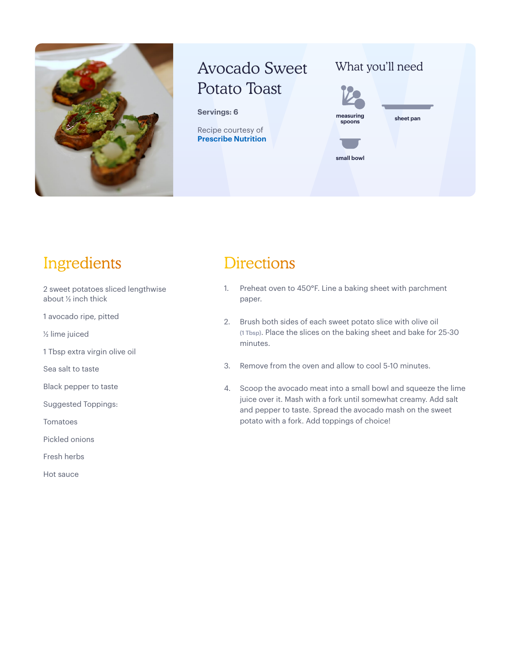

# Avocado Sweet Potato Toast

#### **Servings: 6**

Recipe courtesy of **[Prescribe Nutrition](https://prescribe-nutrition.com/meal-planning/)**

### What you'll need



## Ingredients

2 sweet potatoes sliced lengthwise about ½ inch thick

1 avocado ripe, pitted

½ lime juiced

1 Tbsp extra virgin olive oil

Sea salt to taste

Black pepper to taste

Suggested Toppings:

Tomatoes

Pickled onions

Fresh herbs

Hot sauce

### **Directions**

- 1. Preheat oven to 450°F. Line a baking sheet with parchment paper.
- 2. Brush both sides of each sweet potato slice with olive oil (1 Tbsp). Place the slices on the baking sheet and bake for 25-30 minutes.
- 3. Remove from the oven and allow to cool 5-10 minutes.
- 4. Scoop the avocado meat into a small bowl and squeeze the lime juice over it. Mash with a fork until somewhat creamy. Add salt and pepper to taste. Spread the avocado mash on the sweet potato with a fork. Add toppings of choice!